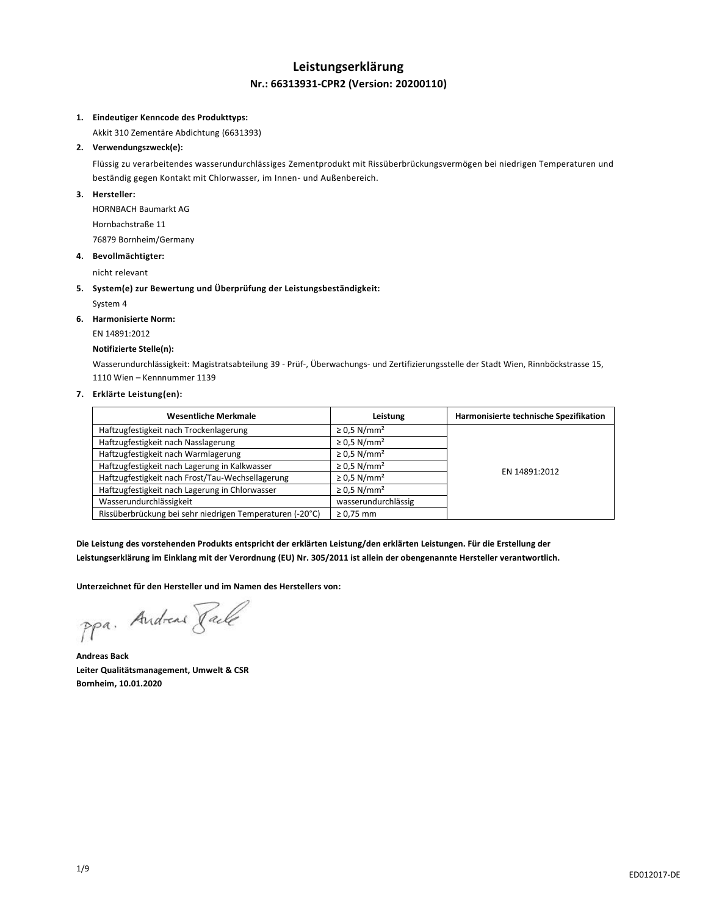# **Leistungserklärung Nr.: 66313931-CPR2 (Version: 20200110)**

#### **1. Eindeutiger Kenncode des Produkttyps:**

Akkit 310 Zementäre Abdichtung (6631393)

# **2. Verwendungszweck(e):**

Flüssig zu verarbeitendes wasserundurchlässiges Zementprodukt mit Rissüberbrückungsvermögen bei niedrigen Temperaturen und beständig gegen Kontakt mit Chlorwasser, im Innen- und Außenbereich.

#### **3. Hersteller:**

HORNBACH Baumarkt AG Hornbachstraße 11 76879 Bornheim/Germany

**4. Bevollmächtigter:**

nicht relevant

**5. System(e) zur Bewertung und Überprüfung der Leistungsbeständigkeit:**

System 4

#### **6. Harmonisierte Norm:**

EN 14891:2012

#### **Notifizierte Stelle(n):**

Wasserundurchlässigkeit: Magistratsabteilung 39 - Prüf-, Überwachungs- und Zertifizierungsstelle der Stadt Wien, Rinnböckstrasse 15, 1110 Wien – Kennnummer 1139

## **7. Erklärte Leistung(en):**

| <b>Wesentliche Merkmale</b>                              | Leistung                     | Harmonisierte technische Spezifikation |
|----------------------------------------------------------|------------------------------|----------------------------------------|
| Haftzugfestigkeit nach Trockenlagerung                   | $\geq$ 0.5 N/mm <sup>2</sup> |                                        |
| Haftzugfestigkeit nach Nasslagerung                      | $\geq$ 0.5 N/mm <sup>2</sup> |                                        |
| Haftzugfestigkeit nach Warmlagerung                      | $\geq$ 0.5 N/mm <sup>2</sup> | EN 14891:2012                          |
| Haftzugfestigkeit nach Lagerung in Kalkwasser            | $\geq$ 0.5 N/mm <sup>2</sup> |                                        |
| Haftzugfestigkeit nach Frost/Tau-Wechsellagerung         | $\geq$ 0.5 N/mm <sup>2</sup> |                                        |
| Haftzugfestigkeit nach Lagerung in Chlorwasser           | $\geq$ 0.5 N/mm <sup>2</sup> |                                        |
| Wasserundurchlässigkeit                                  | wasserundurchlässig          |                                        |
| Rissüberbrückung bei sehr niedrigen Temperaturen (-20°C) | $\geq$ 0.75 mm               |                                        |

**Die Leistung des vorstehenden Produkts entspricht der erklärten Leistung/den erklärten Leistungen. Für die Erstellung der Leistungserklärung im Einklang mit der Verordnung (EU) Nr. 305/2011 ist allein der obengenannte Hersteller verantwortlich.**

**Unterzeichnet für den Hersteller und im Namen des Herstellers von:**

ppa. Andreas Jack

**Andreas Back Leiter Qualitätsmanagement, Umwelt & CSR Bornheim, 10.01.2020**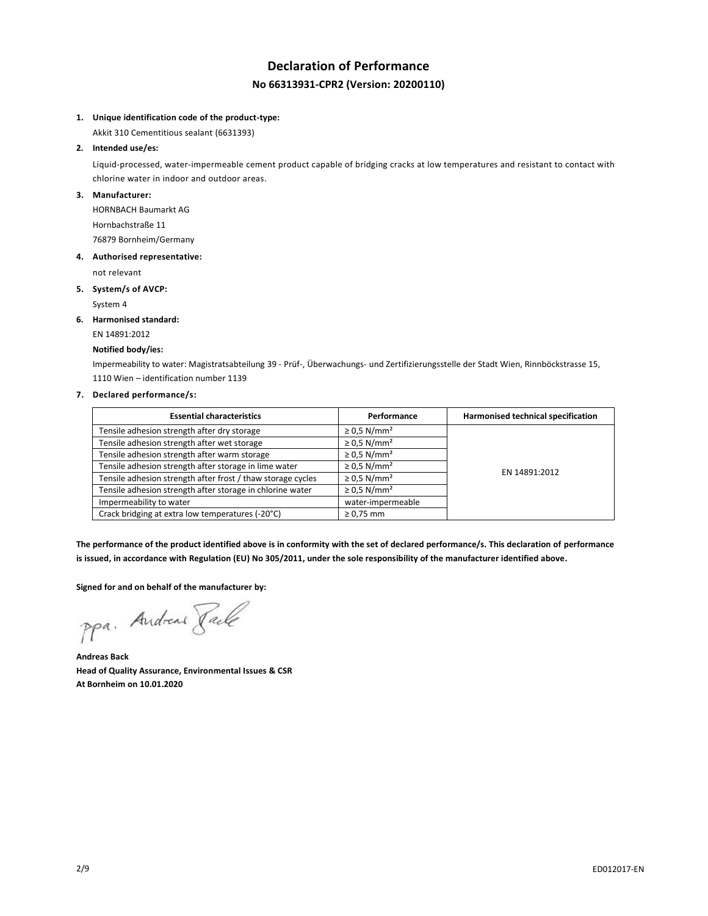# **Declaration of Performance No 66313931-CPR2 (Version: 20200110)**

#### **1. Unique identification code of the product-type:**

Akkit 310 Cementitious sealant (6631393)

# **2. Intended use/es:**

Liquid-processed, water-impermeable cement product capable of bridging cracks at low temperatures and resistant to contact with chlorine water in indoor and outdoor areas.

#### **3. Manufacturer:**

HORNBACH Baumarkt AG Hornbachstraße 11 76879 Bornheim/Germany

#### **4. Authorised representative:**

not relevant

**5. System/s of AVCP:**

System 4

## **6. Harmonised standard:**

EN 14891:2012

#### **Notified body/ies:**

Impermeability to water: Magistratsabteilung 39 - Prüf-, Überwachungs- und Zertifizierungsstelle der Stadt Wien, Rinnböckstrasse 15, 1110 Wien – identification number 1139

## **7. Declared performance/s:**

| <b>Essential characteristics</b>                            | Performance                  | Harmonised technical specification |
|-------------------------------------------------------------|------------------------------|------------------------------------|
| Tensile adhesion strength after dry storage                 | $\geq$ 0.5 N/mm <sup>2</sup> | EN 14891:2012                      |
| Tensile adhesion strength after wet storage                 | $\geq$ 0.5 N/mm <sup>2</sup> |                                    |
| Tensile adhesion strength after warm storage                | $\geq$ 0.5 N/mm <sup>2</sup> |                                    |
| Tensile adhesion strength after storage in lime water       | $\geq$ 0.5 N/mm <sup>2</sup> |                                    |
| Tensile adhesion strength after frost / thaw storage cycles | $\geq$ 0.5 N/mm <sup>2</sup> |                                    |
| Tensile adhesion strength after storage in chlorine water   | $\geq$ 0.5 N/mm <sup>2</sup> |                                    |
| Impermeability to water                                     | water-impermeable            |                                    |
| Crack bridging at extra low temperatures (-20°C)            | $\geq 0.75$ mm               |                                    |

**The performance of the product identified above is in conformity with the set of declared performance/s. This declaration of performance is issued, in accordance with Regulation (EU) No 305/2011, under the sole responsibility of the manufacturer identified above.**

#### **Signed for and on behalf of the manufacturer by:**

ppa. Andreas Paule

**Andreas Back Head of Quality Assurance, Environmental Issues & CSR At Bornheim on 10.01.2020**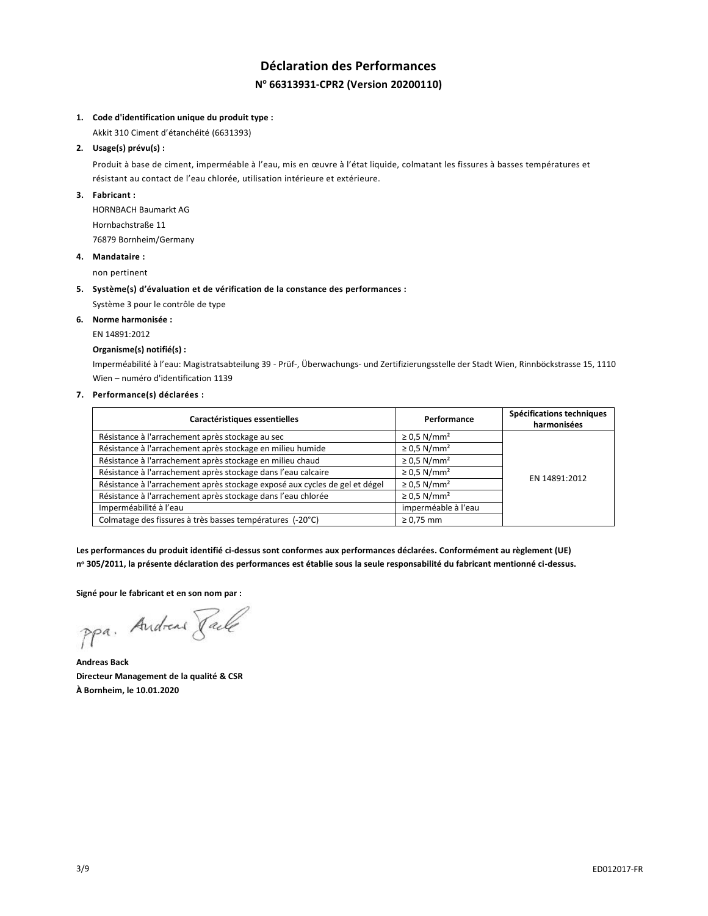# **Déclaration des Performances N <sup>o</sup> 66313931-CPR2 (Version 20200110)**

### **1. Code d'identification unique du produit type :**

Akkit 310 Ciment d'étanchéité (6631393)

# **2. Usage(s) prévu(s) :**

Produit à base de ciment, imperméable à l'eau, mis en œuvre à l'état liquide, colmatant les fissures à basses températures et résistant au contact de l'eau chlorée, utilisation intérieure et extérieure.

## **3. Fabricant :**

HORNBACH Baumarkt AG Hornbachstraße 11 76879 Bornheim/Germany

#### **4. Mandataire :**

non pertinent

## **5. Système(s) d'évaluation et de vérification de la constance des performances :**

Système 3 pour le contrôle de type

# **6. Norme harmonisée :**

EN 14891:2012

# **Organisme(s) notifié(s) :**

Imperméabilité à l'eau: Magistratsabteilung 39 - Prüf-, Überwachungs- und Zertifizierungsstelle der Stadt Wien, Rinnböckstrasse 15, 1110 Wien – numéro d'identification 1139

## **7. Performance(s) déclarées :**

| Caractéristiques essentielles                                               | Performance                  | Spécifications techniques<br>harmonisées |
|-----------------------------------------------------------------------------|------------------------------|------------------------------------------|
| Résistance à l'arrachement après stockage au sec                            | $\geq$ 0.5 N/mm <sup>2</sup> |                                          |
| Résistance à l'arrachement après stockage en milieu humide                  | $\geq$ 0.5 N/mm <sup>2</sup> |                                          |
| Résistance à l'arrachement après stockage en milieu chaud                   | $\geq$ 0.5 N/mm <sup>2</sup> |                                          |
| Résistance à l'arrachement après stockage dans l'eau calcaire               | $\geq$ 0.5 N/mm <sup>2</sup> | EN 14891:2012                            |
| Résistance à l'arrachement après stockage exposé aux cycles de gel et dégel | $\geq$ 0,5 N/mm <sup>2</sup> |                                          |
| Résistance à l'arrachement après stockage dans l'eau chlorée                | $\geq$ 0.5 N/mm <sup>2</sup> |                                          |
| Imperméabilité à l'eau                                                      | imperméable à l'eau          |                                          |
| Colmatage des fissures à très basses températures (-20°C)                   | $\geq 0.75$ mm               |                                          |

**Les performances du produit identifié ci-dessus sont conformes aux performances déclarées. Conformément au règlement (UE) n <sup>o</sup> 305/2011, la présente déclaration des performances est établie sous la seule responsabilité du fabricant mentionné ci-dessus.**

**Signé pour le fabricant et en son nom par :**

ppa. Andreas Pale

**Andreas Back Directeur Management de la qualité & CSR À Bornheim, le 10.01.2020**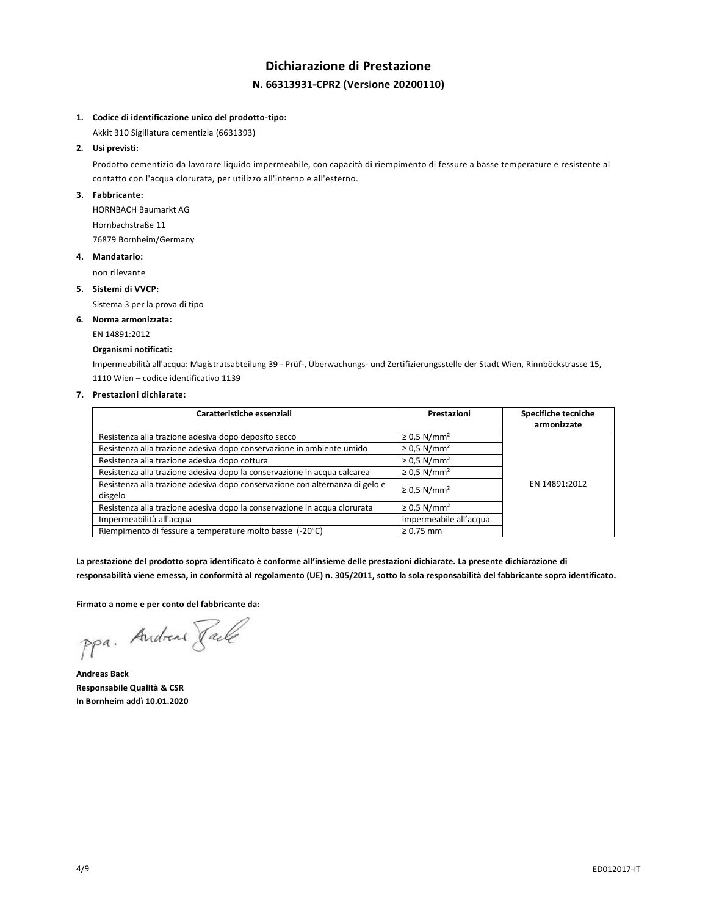# **Dichiarazione di Prestazione N. 66313931-CPR2 (Versione 20200110)**

#### **1. Codice di identificazione unico del prodotto-tipo:**

Akkit 310 Sigillatura cementizia (6631393)

# **2. Usi previsti:**

Prodotto cementizio da lavorare liquido impermeabile, con capacità di riempimento di fessure a basse temperature e resistente al contatto con l'acqua clorurata, per utilizzo all'interno e all'esterno.

#### **3. Fabbricante:**

HORNBACH Baumarkt AG Hornbachstraße 11 76879 Bornheim/Germany

#### **4. Mandatario:**

non rilevante

**5. Sistemi di VVCP:**

Sistema 3 per la prova di tipo

#### **6. Norma armonizzata:**

EN 14891:2012

#### **Organismi notificati:**

Impermeabilità all'acqua: Magistratsabteilung 39 - Prüf-, Überwachungs- und Zertifizierungsstelle der Stadt Wien, Rinnböckstrasse 15, 1110 Wien – codice identificativo 1139

#### **7. Prestazioni dichiarate:**

| Caratteristiche essenziali                                                   | Prestazioni                  | Specifiche tecniche |
|------------------------------------------------------------------------------|------------------------------|---------------------|
|                                                                              |                              | armonizzate         |
| Resistenza alla trazione adesiva dopo deposito secco                         | $\geq$ 0.5 N/mm <sup>2</sup> |                     |
| Resistenza alla trazione adesiva dopo conservazione in ambiente umido        | $\geq$ 0.5 N/mm <sup>2</sup> |                     |
| Resistenza alla trazione adesiva dopo cottura                                | $\geq$ 0.5 N/mm <sup>2</sup> |                     |
| Resistenza alla trazione adesiva dopo la conservazione in acqua calcarea     | $\geq$ 0.5 N/mm <sup>2</sup> |                     |
| Resistenza alla trazione adesiva dopo conservazione con alternanza di gelo e | $\geq$ 0.5 N/mm <sup>2</sup> | EN 14891:2012       |
| disgelo                                                                      |                              |                     |
| Resistenza alla trazione adesiva dopo la conservazione in acqua clorurata    | $\geq$ 0.5 N/mm <sup>2</sup> |                     |
| Impermeabilità all'acqua                                                     | impermeabile all'acqua       |                     |
| Riempimento di fessure a temperature molto basse (-20°C)                     | $\geq 0.75$ mm               |                     |

**La prestazione del prodotto sopra identificato è conforme all'insieme delle prestazioni dichiarate. La presente dichiarazione di responsabilità viene emessa, in conformità al regolamento (UE) n. 305/2011, sotto la sola responsabilità del fabbricante sopra identificato.**

**Firmato a nome e per conto del fabbricante da:**

ppa. Andreas Face

**Andreas Back Responsabile Qualità & CSR In Bornheim addì 10.01.2020**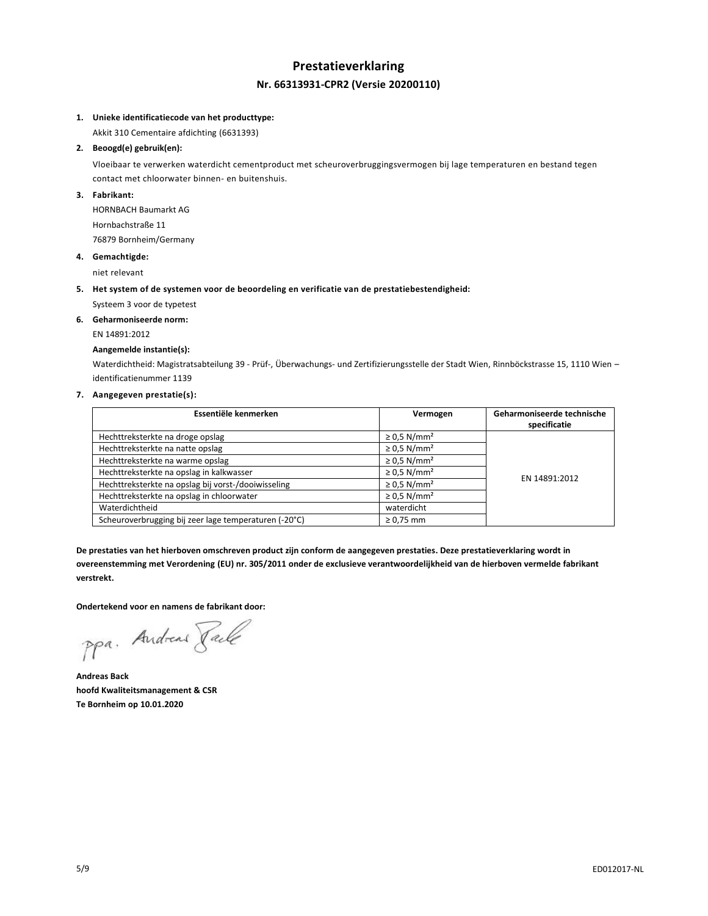# **Prestatieverklaring Nr. 66313931-CPR2 (Versie 20200110)**

#### **1. Unieke identificatiecode van het producttype:**

Akkit 310 Cementaire afdichting (6631393)

# **2. Beoogd(e) gebruik(en):**

Vloeibaar te verwerken waterdicht cementproduct met scheuroverbruggingsvermogen bij lage temperaturen en bestand tegen contact met chloorwater binnen- en buitenshuis.

#### **3. Fabrikant:**

HORNBACH Baumarkt AG Hornbachstraße 11 76879 Bornheim/Germany

#### **4. Gemachtigde:**

niet relevant

- **5. Het system of de systemen voor de beoordeling en verificatie van de prestatiebestendigheid:**
- Systeem 3 voor de typetest
- **6. Geharmoniseerde norm:**
	- EN 14891:2012

# **Aangemelde instantie(s):**

Waterdichtheid: Magistratsabteilung 39 - Prüf-, Überwachungs- und Zertifizierungsstelle der Stadt Wien, Rinnböckstrasse 15, 1110 Wien – identificatienummer 1139

#### **7. Aangegeven prestatie(s):**

| Essentiële kenmerken                                  | Vermogen                     | Geharmoniseerde technische<br>specificatie |
|-------------------------------------------------------|------------------------------|--------------------------------------------|
| Hechttreksterkte na droge opslag                      | $\geq$ 0.5 N/mm <sup>2</sup> |                                            |
| Hechttreksterkte na natte opslag                      | $\geq$ 0.5 N/mm <sup>2</sup> |                                            |
| Hechttreksterkte na warme opslag                      | $\geq$ 0.5 N/mm <sup>2</sup> |                                            |
| Hechttreksterkte na opslag in kalkwasser              | $\geq$ 0.5 N/mm <sup>2</sup> | EN 14891:2012                              |
| Hechttreksterkte na opslag bij vorst-/dooiwisseling   | $\geq$ 0.5 N/mm <sup>2</sup> |                                            |
| Hechttreksterkte na opslag in chloorwater             | $\geq$ 0.5 N/mm <sup>2</sup> |                                            |
| Waterdichtheid                                        | waterdicht                   |                                            |
| Scheuroverbrugging bij zeer lage temperaturen (-20°C) | $\geq 0.75$ mm               |                                            |

**De prestaties van het hierboven omschreven product zijn conform de aangegeven prestaties. Deze prestatieverklaring wordt in overeenstemming met Verordening (EU) nr. 305/2011 onder de exclusieve verantwoordelijkheid van de hierboven vermelde fabrikant verstrekt.**

**Ondertekend voor en namens de fabrikant door:**

ppa. Andreas Face

**Andreas Back hoofd Kwaliteitsmanagement & CSR Te Bornheim op 10.01.2020**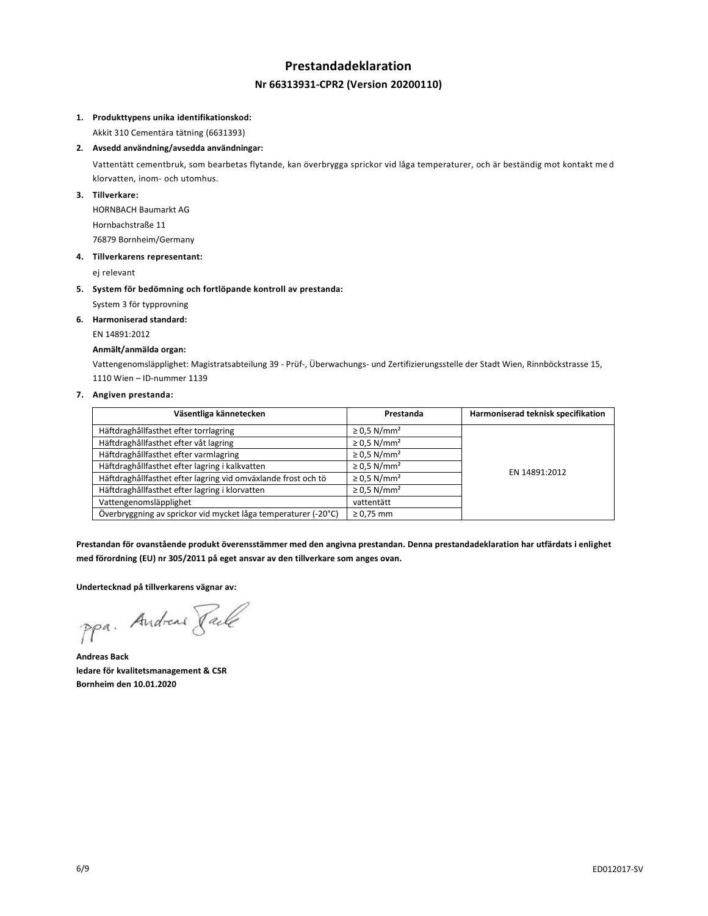# **Prestandadeklaration Nr 66313931-CPR2 (Version 20200110)**

#### **1. Produkttypens unika identifikationskod:**

Akkit 310 Cementära tätning (6631393)

## **2. Avsedd användning/avsedda användningar:**

Vattentätt cementbruk, som bearbetas flytande, kan överbrygga sprickor vid låga temperaturer, och är beständig mot kontakt me d klorvatten, inom- och utomhus.

#### **3. Tillverkare:**

HORNBACH Baumarkt AG Hornbachstraße 11 76879 Bornheim/Germany

#### **4. Tillverkarens representant:**

ej relevant

#### **5. System för bedömning och fortlöpande kontroll av prestanda:**

System 3 för typprovning

#### **6. Harmoniserad standard:**

EN 14891:2012

## **Anmält/anmälda organ:**

Vattengenomsläpplighet: Magistratsabteilung 39 - Prüf-, Überwachungs- und Zertifizierungsstelle der Stadt Wien, Rinnböckstrasse 15, 1110 Wien – ID-nummer 1139

## **7. Angiven prestanda:**

| Väsentliga kännetecken                                         | Prestanda                    | Harmoniserad teknisk specifikation |
|----------------------------------------------------------------|------------------------------|------------------------------------|
| Häftdraghållfasthet efter torrlagring                          | $\geq$ 0.5 N/mm <sup>2</sup> | EN 14891:2012                      |
| Häftdraghållfasthet efter våt lagring                          | $\geq$ 0.5 N/mm <sup>2</sup> |                                    |
| Häftdraghållfasthet efter varmlagring                          | $\geq$ 0.5 N/mm <sup>2</sup> |                                    |
| Häftdraghållfasthet efter lagring i kalkvatten                 | $\geq$ 0.5 N/mm <sup>2</sup> |                                    |
| Häftdraghållfasthet efter lagring vid omväxlande frost och tö  | $\geq$ 0.5 N/mm <sup>2</sup> |                                    |
| Häftdraghållfasthet efter lagring i klorvatten                 | $\geq$ 0.5 N/mm <sup>2</sup> |                                    |
| Vattengenomsläpplighet                                         | vattentätt                   |                                    |
| Överbryggning av sprickor vid mycket låga temperaturer (-20°C) | $\geq$ 0.75 mm               |                                    |

**Prestandan för ovanstående produkt överensstämmer med den angivna prestandan. Denna prestandadeklaration har utfärdats i enlighet med förordning (EU) nr 305/2011 på eget ansvar av den tillverkare som anges ovan.**

#### **Undertecknad på tillverkarens vägnar av:**

ppa. Andreas Jack

**Andreas Back ledare för kvalitetsmanagement & CSR Bornheim den 10.01.2020**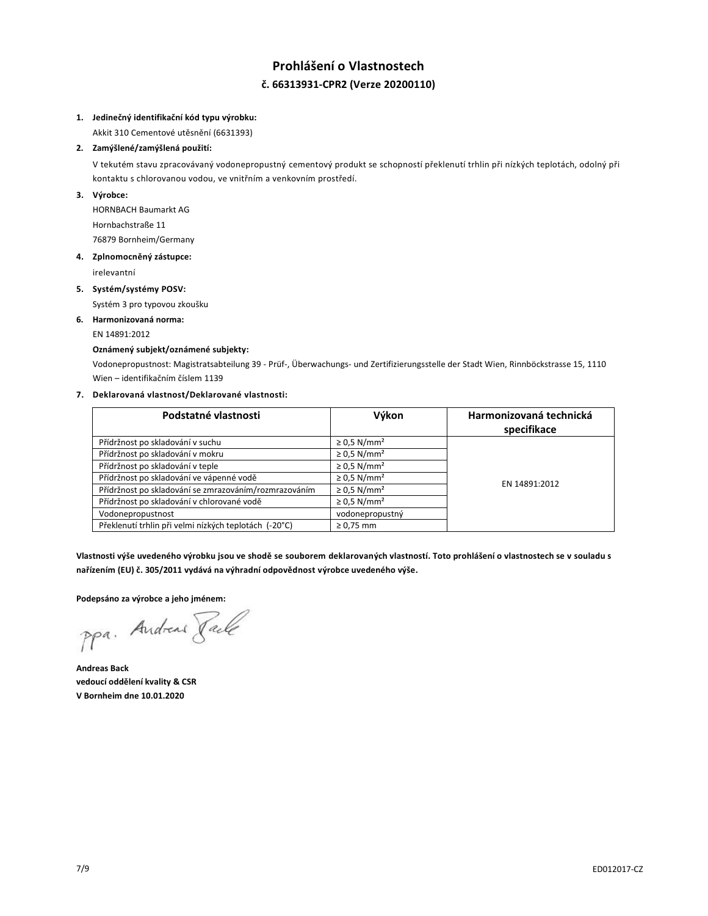# **Prohlášení o Vlastnostech č. 66313931-CPR2 (Verze 20200110)**

#### **1. Jedinečný identifikační kód typu výrobku:**

Akkit 310 Cementové utěsnění (6631393)

# **2. Zamýšlené/zamýšlená použití:**

V tekutém stavu zpracovávaný vodonepropustný cementový produkt se schopností překlenutí trhlin při nízkých teplotách, odolný při kontaktu s chlorovanou vodou, ve vnitřním a venkovním prostředí.

#### **3. Výrobce:**

HORNBACH Baumarkt AG Hornbachstraße 11 76879 Bornheim/Germany

#### **4. Zplnomocněný zástupce:**

irelevantní

#### **5. Systém/systémy POSV:**

Systém 3 pro typovou zkoušku

#### **6. Harmonizovaná norma:**

#### EN 14891:2012

## **Oznámený subjekt/oznámené subjekty:**

Vodonepropustnost: Magistratsabteilung 39 - Prüf-, Überwachungs- und Zertifizierungsstelle der Stadt Wien, Rinnböckstrasse 15, 1110 Wien – identifikačním číslem 1139

#### **7. Deklarovaná vlastnost/Deklarované vlastnosti:**

| Podstatné vlastnosti                                  | Výkon                        | Harmonizovaná technická<br>specifikace |
|-------------------------------------------------------|------------------------------|----------------------------------------|
| Přídržnost po skladování v suchu                      | $\geq$ 0.5 N/mm <sup>2</sup> |                                        |
| Přídržnost po skladování v mokru                      | $\geq$ 0.5 N/mm <sup>2</sup> |                                        |
| Přídržnost po skladování v teple                      | $\geq$ 0.5 N/mm <sup>2</sup> |                                        |
| Přídržnost po skladování ve vápenné vodě              | $\geq$ 0.5 N/mm <sup>2</sup> | EN 14891:2012                          |
| Přídržnost po skladování se zmrazováním/rozmrazováním | $\geq$ 0.5 N/mm <sup>2</sup> |                                        |
| Přídržnost po skladování v chlorované vodě            | $\geq$ 0.5 N/mm <sup>2</sup> |                                        |
| Vodonepropustnost                                     | vodonepropustný              |                                        |
| Překlenutí trhlin při velmi nízkých teplotách (-20°C) | $\geq 0.75$ mm               |                                        |

**Vlastnosti výše uvedeného výrobku jsou ve shodě se souborem deklarovaných vlastností. Toto prohlášení o vlastnostech se v souladu s nařízením (EU) č. 305/2011 vydává na výhradní odpovědnost výrobce uvedeného výše.**

**Podepsáno za výrobce a jeho jménem:**

**Andreas Back vedoucí oddělení kvality & CSR V Bornheim dne 10.01.2020**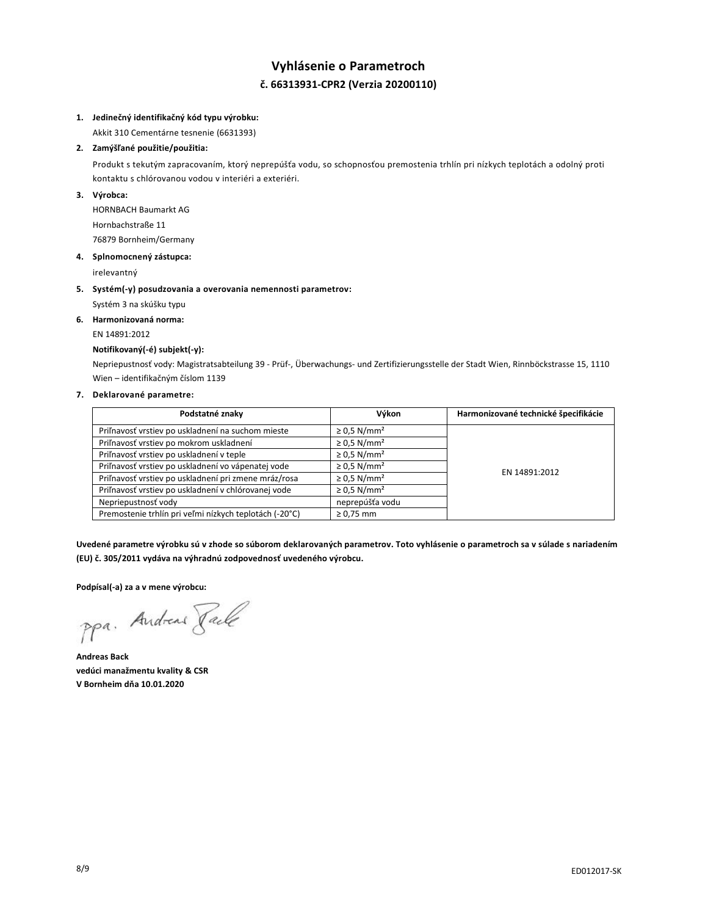# **Vyhlásenie o Parametroch č. 66313931-CPR2 (Verzia 20200110)**

#### **1. Jedinečný identifikačný kód typu výrobku:**

Akkit 310 Cementárne tesnenie (6631393)

# **2. Zamýšľané použitie/použitia:**

Produkt s tekutým zapracovaním, ktorý neprepúšťa vodu, so schopnosťou premostenia trhlín pri nízkych teplotách a odolný proti kontaktu s chlórovanou vodou v interiéri a exteriéri.

## **3. Výrobca:**

HORNBACH Baumarkt AG Hornbachstraße 11 76879 Bornheim/Germany

#### **4. Splnomocnený zástupca:**

irelevantný

#### **5. Systém(-y) posudzovania a overovania nemennosti parametrov:**

Systém 3 na skúšku typu

- **6. Harmonizovaná norma:**
	- EN 14891:2012

# **Notifikovaný(-é) subjekt(-y):**

Nepriepustnosť vody: Magistratsabteilung 39 - Prüf-, Überwachungs- und Zertifizierungsstelle der Stadt Wien, Rinnböckstrasse 15, 1110 Wien – identifikačným číslom 1139

#### **7. Deklarované parametre:**

| Podstatné znaky                                        | Výkon                        | Harmonizované technické špecifikácie |
|--------------------------------------------------------|------------------------------|--------------------------------------|
| Priľnavosť vrstiev po uskladnení na suchom mieste      | $\geq$ 0.5 N/mm <sup>2</sup> | EN 14891:2012                        |
| Priľnavosť vrstiev po mokrom uskladnení                | $\geq$ 0.5 N/mm <sup>2</sup> |                                      |
| Priľnavosť vrstiev po uskladnení v teple               | $\geq$ 0.5 N/mm <sup>2</sup> |                                      |
| Priľnavosť vrstiev po uskladnení vo vápenatej vode     | $\geq$ 0.5 N/mm <sup>2</sup> |                                      |
| Priľnavosť vrstiev po uskladnení pri zmene mráz/rosa   | $\geq$ 0.5 N/mm <sup>2</sup> |                                      |
| Priľnavosť vrstiev po uskladnení v chlórovanej vode    | $\geq$ 0.5 N/mm <sup>2</sup> |                                      |
| Nepriepustnosť vody                                    | neprepúšťa vodu              |                                      |
| Premostenie trhlín pri veľmi nízkych teplotách (-20°C) | $\geq$ 0.75 mm               |                                      |

**Uvedené parametre výrobku sú v zhode so súborom deklarovaných parametrov. Toto vyhlásenie o parametroch sa v súlade s nariadením (EU) č. 305/2011 vydáva na výhradnú zodpovednosť uvedeného výrobcu.**

**Podpísal(-a) za a v mene výrobcu:**

ppa. Andread Face

**Andreas Back vedúci manažmentu kvality & CSR V Bornheim dňa 10.01.2020**